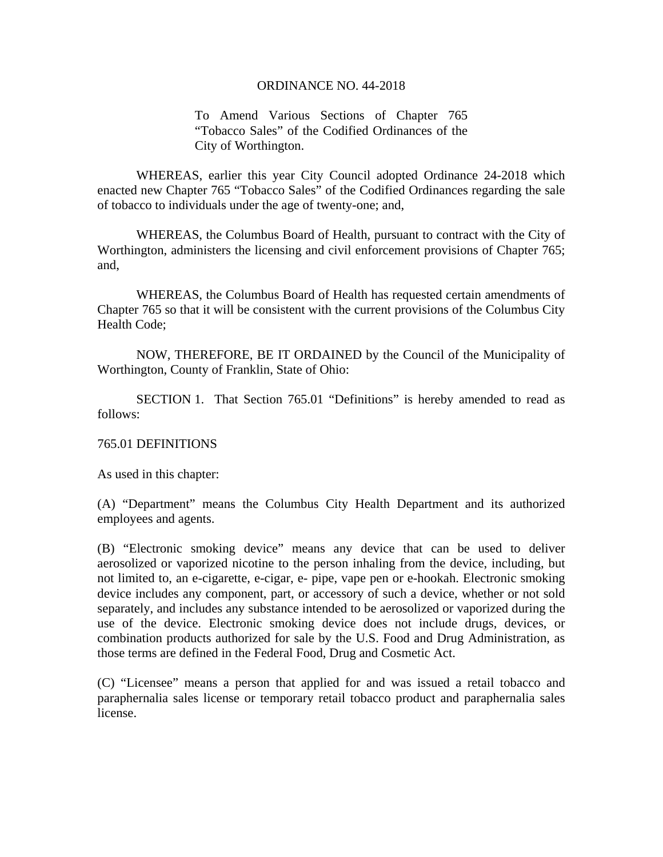To Amend Various Sections of Chapter 765 "Tobacco Sales" of the Codified Ordinances of the City of Worthington.

 WHEREAS, earlier this year City Council adopted Ordinance 24-2018 which enacted new Chapter 765 "Tobacco Sales" of the Codified Ordinances regarding the sale of tobacco to individuals under the age of twenty-one; and,

WHEREAS, the Columbus Board of Health, pursuant to contract with the City of Worthington, administers the licensing and civil enforcement provisions of Chapter 765; and,

WHEREAS, the Columbus Board of Health has requested certain amendments of Chapter 765 so that it will be consistent with the current provisions of the Columbus City Health Code;

 NOW, THEREFORE, BE IT ORDAINED by the Council of the Municipality of Worthington, County of Franklin, State of Ohio:

 SECTION 1. That Section 765.01 "Definitions" is hereby amended to read as follows:

## 765.01 DEFINITIONS

As used in this chapter:

(A) "Department" means the Columbus City Health Department and its authorized employees and agents.

(B) "Electronic smoking device" means any device that can be used to deliver aerosolized or vaporized nicotine to the person inhaling from the device, including, but not limited to, an e-cigarette, e-cigar, e- pipe, vape pen or e-hookah. Electronic smoking device includes any component, part, or accessory of such a device, whether or not sold separately, and includes any substance intended to be aerosolized or vaporized during the use of the device. Electronic smoking device does not include drugs, devices, or combination products authorized for sale by the U.S. Food and Drug Administration, as those terms are defined in the Federal Food, Drug and Cosmetic Act.

(C) "Licensee" means a person that applied for and was issued a retail tobacco and paraphernalia sales license or temporary retail tobacco product and paraphernalia sales license.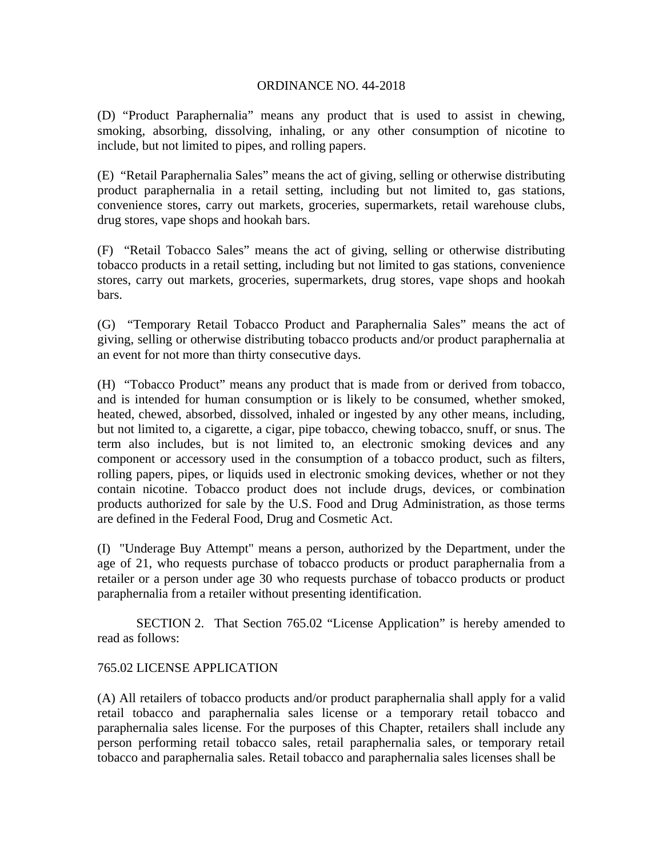(D) "Product Paraphernalia" means any product that is used to assist in chewing, smoking, absorbing, dissolving, inhaling, or any other consumption of nicotine to include, but not limited to pipes, and rolling papers.

(E) "Retail Paraphernalia Sales" means the act of giving, selling or otherwise distributing product paraphernalia in a retail setting, including but not limited to, gas stations, convenience stores, carry out markets, groceries, supermarkets, retail warehouse clubs, drug stores, vape shops and hookah bars.

(F) "Retail Tobacco Sales" means the act of giving, selling or otherwise distributing tobacco products in a retail setting, including but not limited to gas stations, convenience stores, carry out markets, groceries, supermarkets, drug stores, vape shops and hookah bars.

(G) "Temporary Retail Tobacco Product and Paraphernalia Sales" means the act of giving, selling or otherwise distributing tobacco products and/or product paraphernalia at an event for not more than thirty consecutive days.

(H) "Tobacco Product" means any product that is made from or derived from tobacco, and is intended for human consumption or is likely to be consumed, whether smoked, heated, chewed, absorbed, dissolved, inhaled or ingested by any other means, including, but not limited to, a cigarette, a cigar, pipe tobacco, chewing tobacco, snuff, or snus. The term also includes, but is not limited to, an electronic smoking devices and any component or accessory used in the consumption of a tobacco product, such as filters, rolling papers, pipes, or liquids used in electronic smoking devices, whether or not they contain nicotine. Tobacco product does not include drugs, devices, or combination products authorized for sale by the U.S. Food and Drug Administration, as those terms are defined in the Federal Food, Drug and Cosmetic Act.

(I) "Underage Buy Attempt" means a person, authorized by the Department, under the age of 21, who requests purchase of tobacco products or product paraphernalia from a retailer or a person under age 30 who requests purchase of tobacco products or product paraphernalia from a retailer without presenting identification.

SECTION 2. That Section 765.02 "License Application" is hereby amended to read as follows:

# 765.02 LICENSE APPLICATION

(A) All retailers of tobacco products and/or product paraphernalia shall apply for a valid retail tobacco and paraphernalia sales license or a temporary retail tobacco and paraphernalia sales license. For the purposes of this Chapter, retailers shall include any person performing retail tobacco sales, retail paraphernalia sales, or temporary retail tobacco and paraphernalia sales. Retail tobacco and paraphernalia sales licenses shall be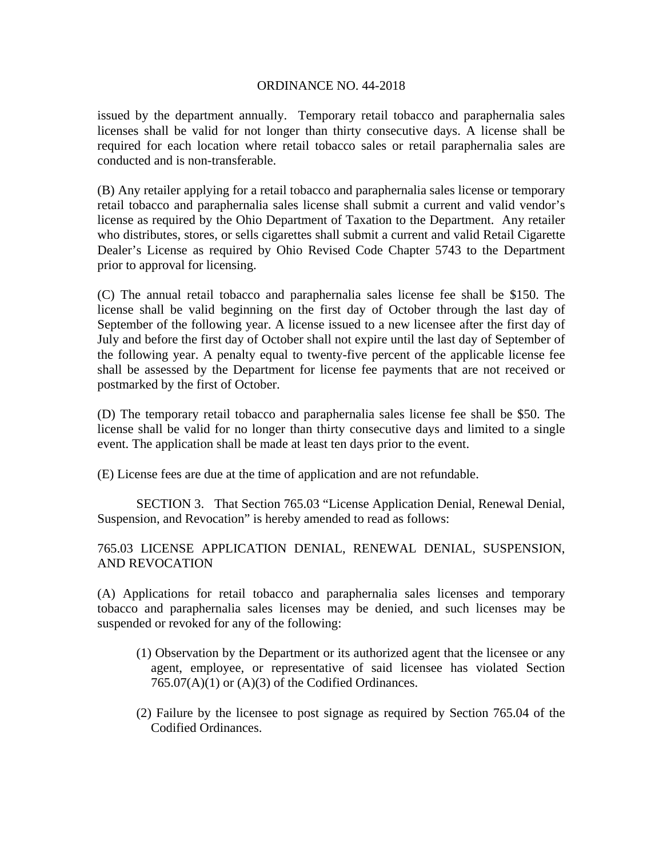issued by the department annually. Temporary retail tobacco and paraphernalia sales licenses shall be valid for not longer than thirty consecutive days. A license shall be required for each location where retail tobacco sales or retail paraphernalia sales are conducted and is non-transferable.

(B) Any retailer applying for a retail tobacco and paraphernalia sales license or temporary retail tobacco and paraphernalia sales license shall submit a current and valid vendor's license as required by the Ohio Department of Taxation to the Department. Any retailer who distributes, stores, or sells cigarettes shall submit a current and valid Retail Cigarette Dealer's License as required by Ohio Revised Code Chapter 5743 to the Department prior to approval for licensing.

(C) The annual retail tobacco and paraphernalia sales license fee shall be \$150. The license shall be valid beginning on the first day of October through the last day of September of the following year. A license issued to a new licensee after the first day of July and before the first day of October shall not expire until the last day of September of the following year. A penalty equal to twenty-five percent of the applicable license fee shall be assessed by the Department for license fee payments that are not received or postmarked by the first of October.

(D) The temporary retail tobacco and paraphernalia sales license fee shall be \$50. The license shall be valid for no longer than thirty consecutive days and limited to a single event. The application shall be made at least ten days prior to the event.

(E) License fees are due at the time of application and are not refundable.

SECTION 3. That Section 765.03 "License Application Denial, Renewal Denial, Suspension, and Revocation" is hereby amended to read as follows:

# 765.03 LICENSE APPLICATION DENIAL, RENEWAL DENIAL, SUSPENSION, AND REVOCATION

(A) Applications for retail tobacco and paraphernalia sales licenses and temporary tobacco and paraphernalia sales licenses may be denied, and such licenses may be suspended or revoked for any of the following:

- (1) Observation by the Department or its authorized agent that the licensee or any agent, employee, or representative of said licensee has violated Section  $765.07(A)(1)$  or  $(A)(3)$  of the Codified Ordinances.
- (2) Failure by the licensee to post signage as required by Section 765.04 of the Codified Ordinances.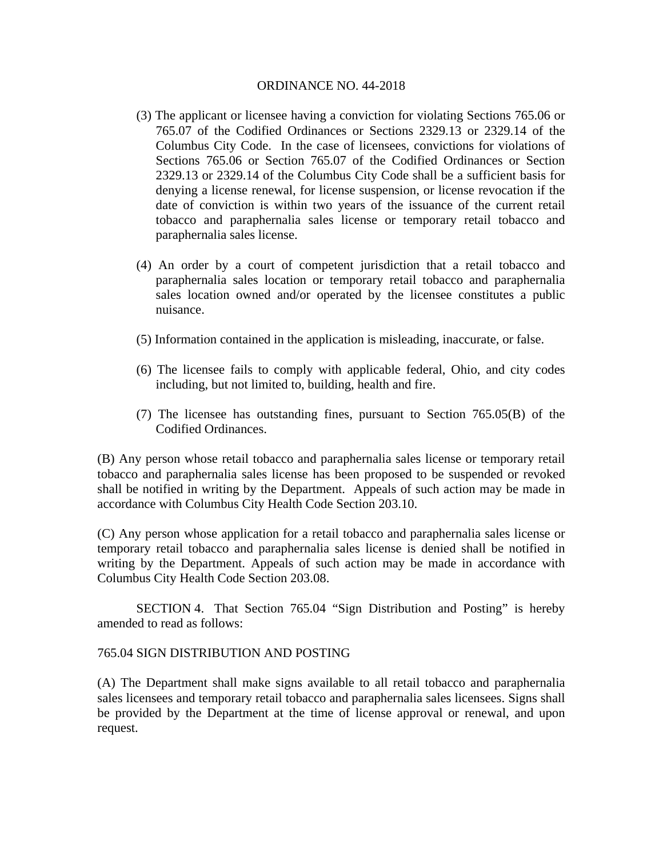- (3) The applicant or licensee having a conviction for violating Sections 765.06 or 765.07 of the Codified Ordinances or Sections 2329.13 or 2329.14 of the Columbus City Code. In the case of licensees, convictions for violations of Sections 765.06 or Section 765.07 of the Codified Ordinances or Section 2329.13 or 2329.14 of the Columbus City Code shall be a sufficient basis for denying a license renewal, for license suspension, or license revocation if the date of conviction is within two years of the issuance of the current retail tobacco and paraphernalia sales license or temporary retail tobacco and paraphernalia sales license.
- (4) An order by a court of competent jurisdiction that a retail tobacco and paraphernalia sales location or temporary retail tobacco and paraphernalia sales location owned and/or operated by the licensee constitutes a public nuisance.
- (5) Information contained in the application is misleading, inaccurate, or false.
- (6) The licensee fails to comply with applicable federal, Ohio, and city codes including, but not limited to, building, health and fire.
- (7) The licensee has outstanding fines, pursuant to Section 765.05(B) of the Codified Ordinances.

(B) Any person whose retail tobacco and paraphernalia sales license or temporary retail tobacco and paraphernalia sales license has been proposed to be suspended or revoked shall be notified in writing by the Department. Appeals of such action may be made in accordance with Columbus City Health Code Section 203.10.

(C) Any person whose application for a retail tobacco and paraphernalia sales license or temporary retail tobacco and paraphernalia sales license is denied shall be notified in writing by the Department. Appeals of such action may be made in accordance with Columbus City Health Code Section 203.08.

SECTION 4. That Section 765.04 "Sign Distribution and Posting" is hereby amended to read as follows:

## 765.04 SIGN DISTRIBUTION AND POSTING

(A) The Department shall make signs available to all retail tobacco and paraphernalia sales licensees and temporary retail tobacco and paraphernalia sales licensees. Signs shall be provided by the Department at the time of license approval or renewal, and upon request.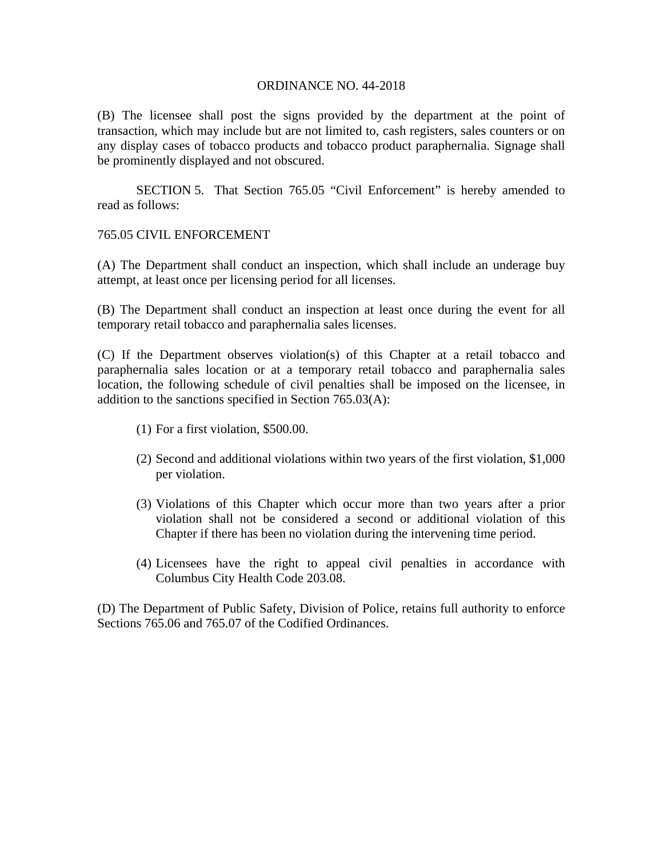(B) The licensee shall post the signs provided by the department at the point of transaction, which may include but are not limited to, cash registers, sales counters or on any display cases of tobacco products and tobacco product paraphernalia. Signage shall be prominently displayed and not obscured.

SECTION 5. That Section 765.05 "Civil Enforcement" is hereby amended to read as follows:

## 765.05 CIVIL ENFORCEMENT

(A) The Department shall conduct an inspection, which shall include an underage buy attempt, at least once per licensing period for all licenses.

(B) The Department shall conduct an inspection at least once during the event for all temporary retail tobacco and paraphernalia sales licenses.

(C) If the Department observes violation(s) of this Chapter at a retail tobacco and paraphernalia sales location or at a temporary retail tobacco and paraphernalia sales location, the following schedule of civil penalties shall be imposed on the licensee, in addition to the sanctions specified in Section 765.03(A):

- (1) For a first violation, \$500.00.
- (2) Second and additional violations within two years of the first violation, \$1,000 per violation.
- (3) Violations of this Chapter which occur more than two years after a prior violation shall not be considered a second or additional violation of this Chapter if there has been no violation during the intervening time period.
- (4) Licensees have the right to appeal civil penalties in accordance with Columbus City Health Code 203.08.

(D) The Department of Public Safety, Division of Police, retains full authority to enforce Sections 765.06 and 765.07 of the Codified Ordinances.